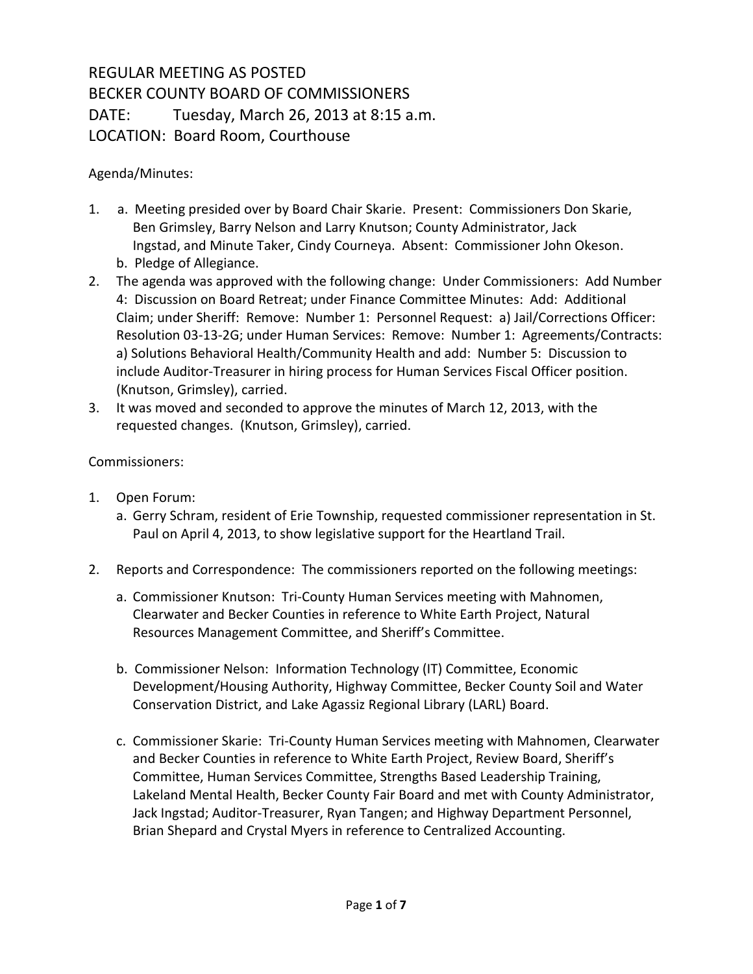## REGULAR MEETING AS POSTED BECKER COUNTY BOARD OF COMMISSIONERS DATE: Tuesday, March 26, 2013 at 8:15 a.m. LOCATION: Board Room, Courthouse

## Agenda/Minutes:

- 1. a. Meeting presided over by Board Chair Skarie. Present: Commissioners Don Skarie, Ben Grimsley, Barry Nelson and Larry Knutson; County Administrator, Jack Ingstad, and Minute Taker, Cindy Courneya. Absent: Commissioner John Okeson. b. Pledge of Allegiance.
- 2. The agenda was approved with the following change: Under Commissioners: Add Number 4: Discussion on Board Retreat; under Finance Committee Minutes: Add: Additional Claim; under Sheriff: Remove: Number 1: Personnel Request: a) Jail/Corrections Officer: Resolution 03-13-2G; under Human Services: Remove: Number 1: Agreements/Contracts: a) Solutions Behavioral Health/Community Health and add: Number 5: Discussion to include Auditor-Treasurer in hiring process for Human Services Fiscal Officer position. (Knutson, Grimsley), carried.
- 3. It was moved and seconded to approve the minutes of March 12, 2013, with the requested changes. (Knutson, Grimsley), carried.

## Commissioners:

- 1. Open Forum:
	- a. Gerry Schram, resident of Erie Township, requested commissioner representation in St. Paul on April 4, 2013, to show legislative support for the Heartland Trail.
- 2. Reports and Correspondence: The commissioners reported on the following meetings:
	- a. Commissioner Knutson: Tri-County Human Services meeting with Mahnomen, Clearwater and Becker Counties in reference to White Earth Project, Natural Resources Management Committee, and Sheriff's Committee.
	- b. Commissioner Nelson: Information Technology (IT) Committee, Economic Development/Housing Authority, Highway Committee, Becker County Soil and Water Conservation District, and Lake Agassiz Regional Library (LARL) Board.
	- c. Commissioner Skarie: Tri-County Human Services meeting with Mahnomen, Clearwater and Becker Counties in reference to White Earth Project, Review Board, Sheriff's Committee, Human Services Committee, Strengths Based Leadership Training, Lakeland Mental Health, Becker County Fair Board and met with County Administrator, Jack Ingstad; Auditor-Treasurer, Ryan Tangen; and Highway Department Personnel, Brian Shepard and Crystal Myers in reference to Centralized Accounting.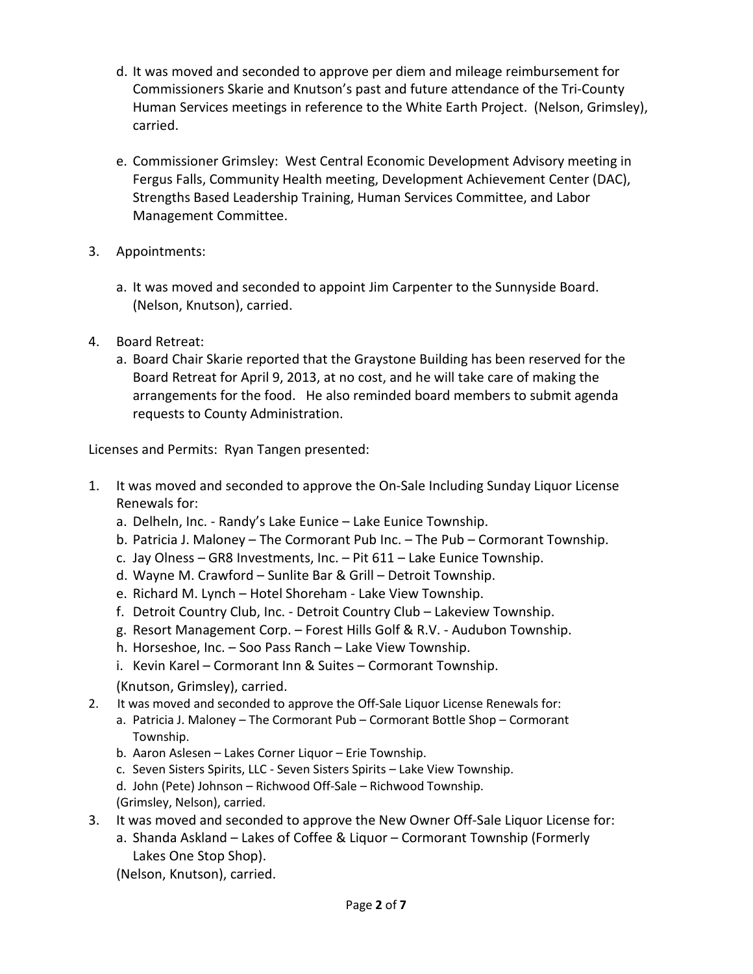- d. It was moved and seconded to approve per diem and mileage reimbursement for Commissioners Skarie and Knutson's past and future attendance of the Tri-County Human Services meetings in reference to the White Earth Project. (Nelson, Grimsley), carried.
- e. Commissioner Grimsley: West Central Economic Development Advisory meeting in Fergus Falls, Community Health meeting, Development Achievement Center (DAC), Strengths Based Leadership Training, Human Services Committee, and Labor Management Committee.
- 3. Appointments:
	- a. It was moved and seconded to appoint Jim Carpenter to the Sunnyside Board. (Nelson, Knutson), carried.
- 4. Board Retreat:
	- a. Board Chair Skarie reported that the Graystone Building has been reserved for the Board Retreat for April 9, 2013, at no cost, and he will take care of making the arrangements for the food. He also reminded board members to submit agenda requests to County Administration.

Licenses and Permits: Ryan Tangen presented:

- 1. It was moved and seconded to approve the On-Sale Including Sunday Liquor License Renewals for:
	- a. Delheln, Inc. Randy's Lake Eunice Lake Eunice Township.
	- b. Patricia J. Maloney The Cormorant Pub Inc. The Pub Cormorant Township.
	- c. Jay Olness GR8 Investments, Inc. Pit 611 Lake Eunice Township.
	- d. Wayne M. Crawford Sunlite Bar & Grill Detroit Township.
	- e. Richard M. Lynch Hotel Shoreham Lake View Township.
	- f. Detroit Country Club, Inc. Detroit Country Club Lakeview Township.
	- g. Resort Management Corp. Forest Hills Golf & R.V. Audubon Township.
	- h. Horseshoe, Inc. Soo Pass Ranch Lake View Township.
	- i. Kevin Karel Cormorant Inn & Suites Cormorant Township.
	- (Knutson, Grimsley), carried.
- 2. It was moved and seconded to approve the Off-Sale Liquor License Renewals for:
	- a. Patricia J. Maloney The Cormorant Pub Cormorant Bottle Shop Cormorant Township.
	- b. Aaron Aslesen Lakes Corner Liquor Erie Township.
	- c. Seven Sisters Spirits, LLC Seven Sisters Spirits Lake View Township.
	- d. John (Pete) Johnson Richwood Off-Sale Richwood Township. (Grimsley, Nelson), carried.
- 3. It was moved and seconded to approve the New Owner Off-Sale Liquor License for:
	- a. Shanda Askland Lakes of Coffee & Liquor Cormorant Township (Formerly Lakes One Stop Shop).

(Nelson, Knutson), carried.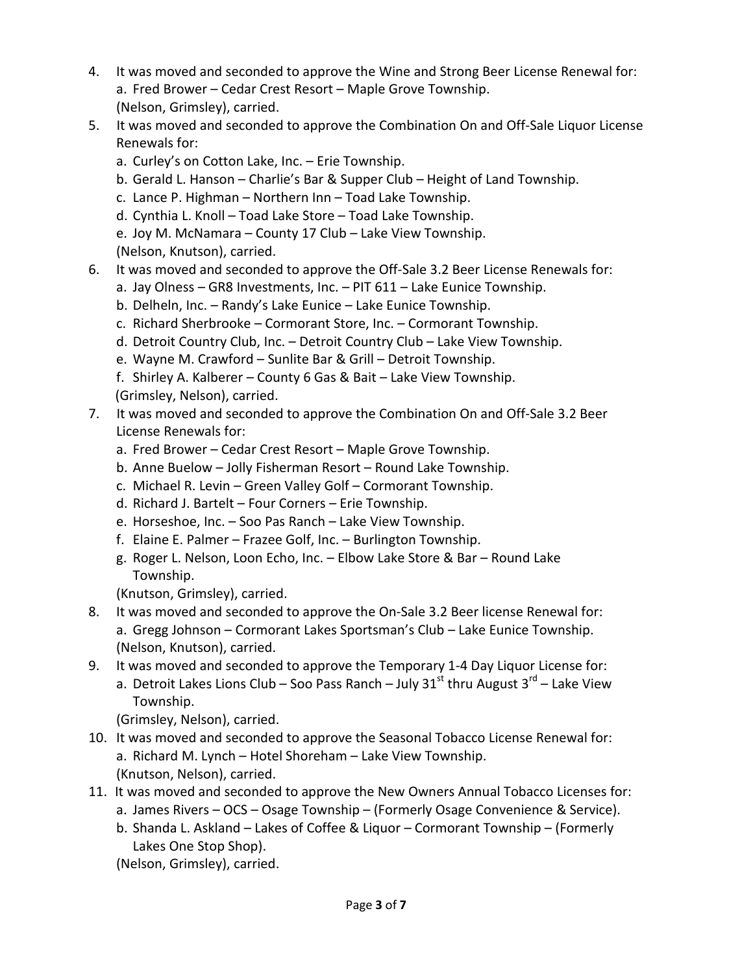- 4. It was moved and seconded to approve the Wine and Strong Beer License Renewal for: a. Fred Brower – Cedar Crest Resort – Maple Grove Township. (Nelson, Grimsley), carried.
- 5. It was moved and seconded to approve the Combination On and Off-Sale Liquor License Renewals for:
	- a. Curley's on Cotton Lake, Inc. Erie Township.
	- b. Gerald L. Hanson Charlie's Bar & Supper Club Height of Land Township.
	- c. Lance P. Highman Northern Inn Toad Lake Township.
	- d. Cynthia L. Knoll Toad Lake Store Toad Lake Township.
	- e. Joy M. McNamara County 17 Club Lake View Township. (Nelson, Knutson), carried.
- 6. It was moved and seconded to approve the Off-Sale 3.2 Beer License Renewals for:
	- a. Jay Olness GR8 Investments, Inc. PIT 611 Lake Eunice Township.
	- b. Delheln, Inc. Randy's Lake Eunice Lake Eunice Township.
	- c. Richard Sherbrooke Cormorant Store, Inc. Cormorant Township.
	- d. Detroit Country Club, Inc. Detroit Country Club Lake View Township.
	- e. Wayne M. Crawford Sunlite Bar & Grill Detroit Township.
	- f. Shirley A. Kalberer County 6 Gas & Bait Lake View Township. (Grimsley, Nelson), carried.
- 7. It was moved and seconded to approve the Combination On and Off-Sale 3.2 Beer License Renewals for:
	- a. Fred Brower Cedar Crest Resort Maple Grove Township.
	- b. Anne Buelow Jolly Fisherman Resort Round Lake Township.
	- c. Michael R. Levin Green Valley Golf Cormorant Township.
	- d. Richard J. Bartelt Four Corners Erie Township.
	- e. Horseshoe, Inc. Soo Pas Ranch Lake View Township.
	- f. Elaine E. Palmer Frazee Golf, Inc. Burlington Township.
	- g. Roger L. Nelson, Loon Echo, Inc. Elbow Lake Store & Bar Round Lake Township.

(Knutson, Grimsley), carried.

- 8. It was moved and seconded to approve the On-Sale 3.2 Beer license Renewal for: a. Gregg Johnson – Cormorant Lakes Sportsman's Club – Lake Eunice Township. (Nelson, Knutson), carried.
- 9. It was moved and seconded to approve the Temporary 1-4 Day Liquor License for: a. Detroit Lakes Lions Club – Soo Pass Ranch – July 31<sup>st</sup> thru August  $3^{rd}$  – Lake View Township.

(Grimsley, Nelson), carried.

- 10. It was moved and seconded to approve the Seasonal Tobacco License Renewal for: a. Richard M. Lynch – Hotel Shoreham – Lake View Township. (Knutson, Nelson), carried.
- 11. It was moved and seconded to approve the New Owners Annual Tobacco Licenses for: a. James Rivers – OCS – Osage Township – (Formerly Osage Convenience & Service).
	- b. Shanda L. Askland Lakes of Coffee & Liquor Cormorant Township (Formerly
	- Lakes One Stop Shop).

(Nelson, Grimsley), carried.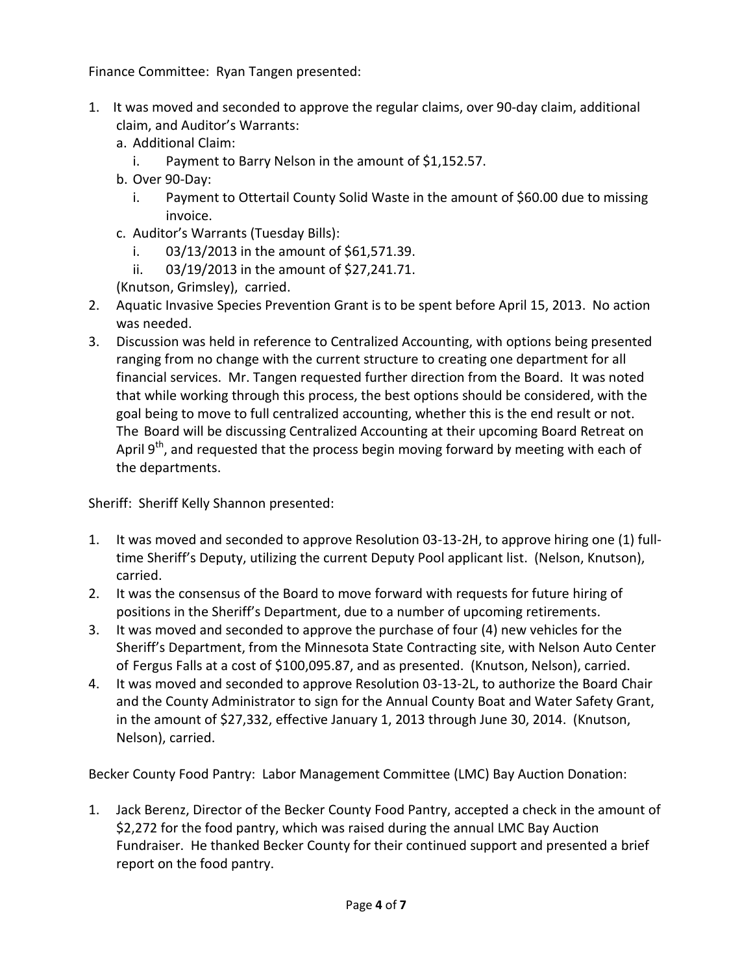Finance Committee: Ryan Tangen presented:

- 1. It was moved and seconded to approve the regular claims, over 90-day claim, additional claim, and Auditor's Warrants:
	- a. Additional Claim:
		- i. Payment to Barry Nelson in the amount of \$1,152.57.
	- b. Over 90-Day:
		- i. Payment to Ottertail County Solid Waste in the amount of \$60.00 due to missing invoice.
	- c. Auditor's Warrants (Tuesday Bills):
		- i. 03/13/2013 in the amount of \$61,571.39.
		- ii. 03/19/2013 in the amount of \$27,241.71.

(Knutson, Grimsley), carried.

- 2. Aquatic Invasive Species Prevention Grant is to be spent before April 15, 2013. No action was needed.
- 3. Discussion was held in reference to Centralized Accounting, with options being presented ranging from no change with the current structure to creating one department for all financial services. Mr. Tangen requested further direction from the Board. It was noted that while working through this process, the best options should be considered, with the goal being to move to full centralized accounting, whether this is the end result or not. The Board will be discussing Centralized Accounting at their upcoming Board Retreat on April  $9<sup>th</sup>$ , and requested that the process begin moving forward by meeting with each of the departments.

Sheriff: Sheriff Kelly Shannon presented:

- 1. It was moved and seconded to approve Resolution 03-13-2H, to approve hiring one (1) fulltime Sheriff's Deputy, utilizing the current Deputy Pool applicant list. (Nelson, Knutson), carried.
- 2. It was the consensus of the Board to move forward with requests for future hiring of positions in the Sheriff's Department, due to a number of upcoming retirements.
- 3. It was moved and seconded to approve the purchase of four (4) new vehicles for the Sheriff's Department, from the Minnesota State Contracting site, with Nelson Auto Center of Fergus Falls at a cost of \$100,095.87, and as presented. (Knutson, Nelson), carried.
- 4. It was moved and seconded to approve Resolution 03-13-2L, to authorize the Board Chair and the County Administrator to sign for the Annual County Boat and Water Safety Grant, in the amount of \$27,332, effective January 1, 2013 through June 30, 2014. (Knutson, Nelson), carried.

Becker County Food Pantry: Labor Management Committee (LMC) Bay Auction Donation:

1. Jack Berenz, Director of the Becker County Food Pantry, accepted a check in the amount of \$2,272 for the food pantry, which was raised during the annual LMC Bay Auction Fundraiser. He thanked Becker County for their continued support and presented a brief report on the food pantry.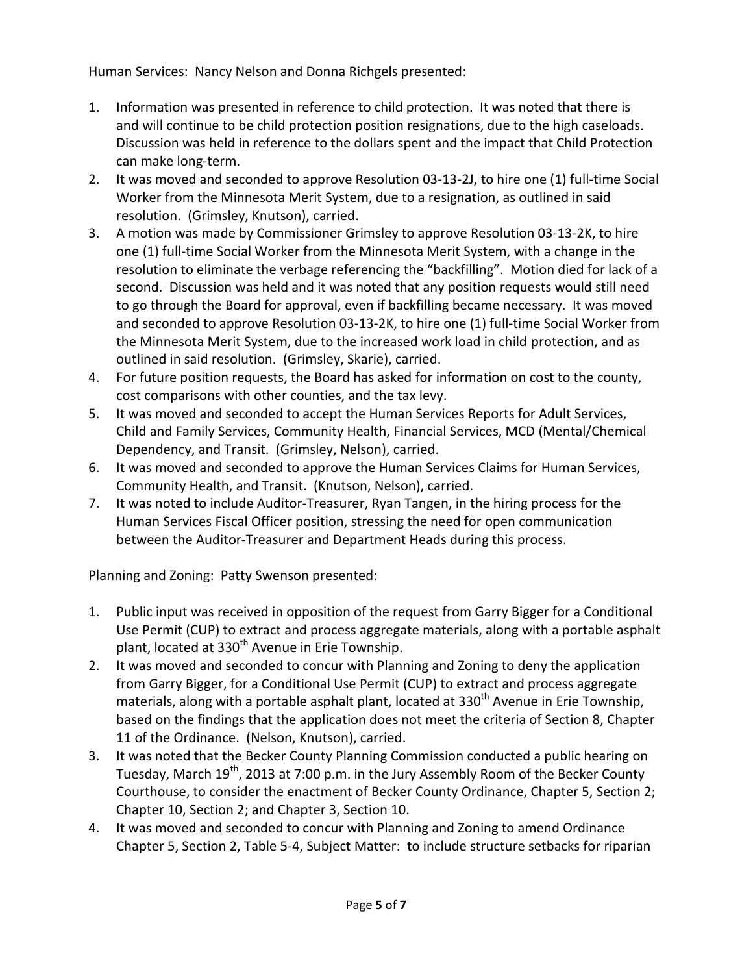Human Services: Nancy Nelson and Donna Richgels presented:

- 1. Information was presented in reference to child protection. It was noted that there is and will continue to be child protection position resignations, due to the high caseloads. Discussion was held in reference to the dollars spent and the impact that Child Protection can make long-term.
- 2. It was moved and seconded to approve Resolution 03-13-2J, to hire one (1) full-time Social Worker from the Minnesota Merit System, due to a resignation, as outlined in said resolution. (Grimsley, Knutson), carried.
- 3. A motion was made by Commissioner Grimsley to approve Resolution 03-13-2K, to hire one (1) full-time Social Worker from the Minnesota Merit System, with a change in the resolution to eliminate the verbage referencing the "backfilling". Motion died for lack of a second. Discussion was held and it was noted that any position requests would still need to go through the Board for approval, even if backfilling became necessary. It was moved and seconded to approve Resolution 03-13-2K, to hire one (1) full-time Social Worker from the Minnesota Merit System, due to the increased work load in child protection, and as outlined in said resolution. (Grimsley, Skarie), carried.
- 4. For future position requests, the Board has asked for information on cost to the county, cost comparisons with other counties, and the tax levy.
- 5. It was moved and seconded to accept the Human Services Reports for Adult Services, Child and Family Services, Community Health, Financial Services, MCD (Mental/Chemical Dependency, and Transit. (Grimsley, Nelson), carried.
- 6. It was moved and seconded to approve the Human Services Claims for Human Services, Community Health, and Transit. (Knutson, Nelson), carried.
- 7. It was noted to include Auditor-Treasurer, Ryan Tangen, in the hiring process for the Human Services Fiscal Officer position, stressing the need for open communication between the Auditor-Treasurer and Department Heads during this process.

Planning and Zoning: Patty Swenson presented:

- 1. Public input was received in opposition of the request from Garry Bigger for a Conditional Use Permit (CUP) to extract and process aggregate materials, along with a portable asphalt plant, located at 330<sup>th</sup> Avenue in Erie Township.
- 2. It was moved and seconded to concur with Planning and Zoning to deny the application from Garry Bigger, for a Conditional Use Permit (CUP) to extract and process aggregate materials, along with a portable asphalt plant, located at 330<sup>th</sup> Avenue in Erie Township, based on the findings that the application does not meet the criteria of Section 8, Chapter 11 of the Ordinance. (Nelson, Knutson), carried.
- 3. It was noted that the Becker County Planning Commission conducted a public hearing on Tuesday, March 19<sup>th</sup>, 2013 at 7:00 p.m. in the Jury Assembly Room of the Becker County Courthouse, to consider the enactment of Becker County Ordinance, Chapter 5, Section 2; Chapter 10, Section 2; and Chapter 3, Section 10.
- 4. It was moved and seconded to concur with Planning and Zoning to amend Ordinance Chapter 5, Section 2, Table 5-4, Subject Matter: to include structure setbacks for riparian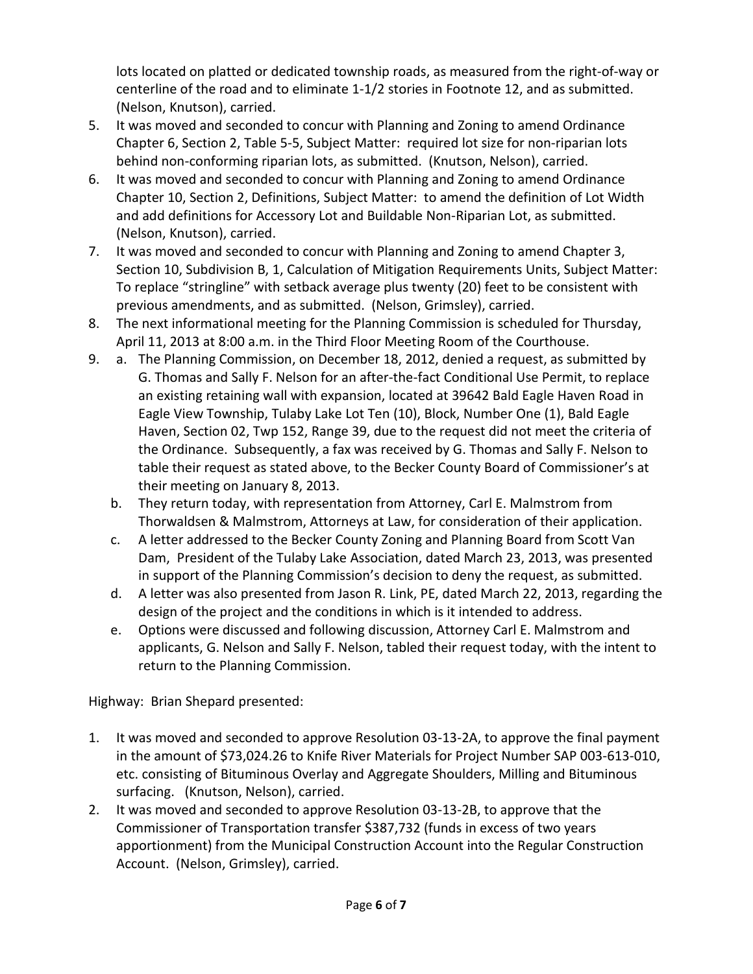lots located on platted or dedicated township roads, as measured from the right-of-way or centerline of the road and to eliminate 1-1/2 stories in Footnote 12, and as submitted. (Nelson, Knutson), carried.

- 5. It was moved and seconded to concur with Planning and Zoning to amend Ordinance Chapter 6, Section 2, Table 5-5, Subject Matter: required lot size for non-riparian lots behind non-conforming riparian lots, as submitted. (Knutson, Nelson), carried.
- 6. It was moved and seconded to concur with Planning and Zoning to amend Ordinance Chapter 10, Section 2, Definitions, Subject Matter: to amend the definition of Lot Width and add definitions for Accessory Lot and Buildable Non-Riparian Lot, as submitted. (Nelson, Knutson), carried.
- 7. It was moved and seconded to concur with Planning and Zoning to amend Chapter 3, Section 10, Subdivision B, 1, Calculation of Mitigation Requirements Units, Subject Matter: To replace "stringline" with setback average plus twenty (20) feet to be consistent with previous amendments, and as submitted. (Nelson, Grimsley), carried.
- 8. The next informational meeting for the Planning Commission is scheduled for Thursday, April 11, 2013 at 8:00 a.m. in the Third Floor Meeting Room of the Courthouse.
- 9. a. The Planning Commission, on December 18, 2012, denied a request, as submitted by G. Thomas and Sally F. Nelson for an after-the-fact Conditional Use Permit, to replace an existing retaining wall with expansion, located at 39642 Bald Eagle Haven Road in Eagle View Township, Tulaby Lake Lot Ten (10), Block, Number One (1), Bald Eagle Haven, Section 02, Twp 152, Range 39, due to the request did not meet the criteria of the Ordinance. Subsequently, a fax was received by G. Thomas and Sally F. Nelson to table their request as stated above, to the Becker County Board of Commissioner's at their meeting on January 8, 2013.
	- b. They return today, with representation from Attorney, Carl E. Malmstrom from Thorwaldsen & Malmstrom, Attorneys at Law, for consideration of their application.
	- c. A letter addressed to the Becker County Zoning and Planning Board from Scott Van Dam, President of the Tulaby Lake Association, dated March 23, 2013, was presented in support of the Planning Commission's decision to deny the request, as submitted.
	- d. A letter was also presented from Jason R. Link, PE, dated March 22, 2013, regarding the design of the project and the conditions in which is it intended to address.
	- e. Options were discussed and following discussion, Attorney Carl E. Malmstrom and applicants, G. Nelson and Sally F. Nelson, tabled their request today, with the intent to return to the Planning Commission.

Highway: Brian Shepard presented:

- 1. It was moved and seconded to approve Resolution 03-13-2A, to approve the final payment in the amount of \$73,024.26 to Knife River Materials for Project Number SAP 003-613-010, etc. consisting of Bituminous Overlay and Aggregate Shoulders, Milling and Bituminous surfacing. (Knutson, Nelson), carried.
- 2. It was moved and seconded to approve Resolution 03-13-2B, to approve that the Commissioner of Transportation transfer \$387,732 (funds in excess of two years apportionment) from the Municipal Construction Account into the Regular Construction Account. (Nelson, Grimsley), carried.